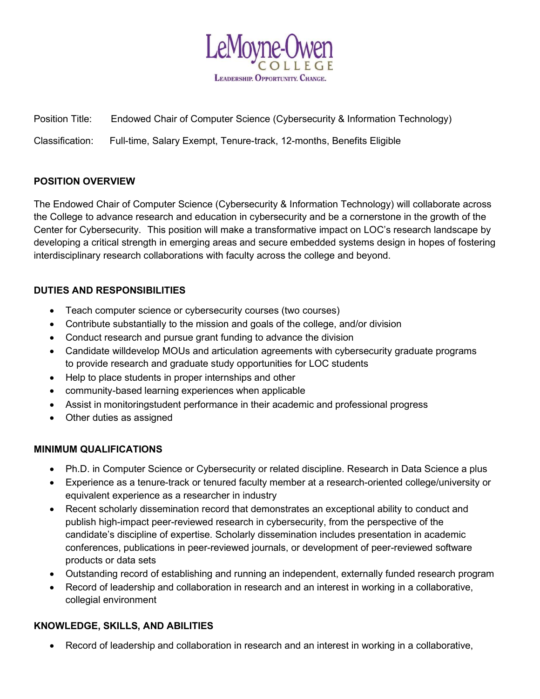

Position Title: Endowed Chair of Computer Science (Cybersecurity & Information Technology)

Classification: Full-time, Salary Exempt, Tenure-track, 12-months, Benefits Eligible

## POSITION OVERVIEW

The Endowed Chair of Computer Science (Cybersecurity & Information Technology) will collaborate across the College to advance research and education in cybersecurity and be a cornerstone in the growth of the Center for Cybersecurity. This position will make a transformative impact on LOC's research landscape by developing a critical strength in emerging areas and secure embedded systems design in hopes of fostering interdisciplinary research collaborations with faculty across the college and beyond.

## DUTIES AND RESPONSIBILITIES

- Teach computer science or cybersecurity courses (two courses)
- Contribute substantially to the mission and goals of the college, and/or division
- Conduct research and pursue grant funding to advance the division
- Candidate will develop MOUs and articulation agreements with cybersecurity graduate programs to provide research and graduate study opportunities for LOC students
- Help to place students in proper internships and other
- community-based learning experiences when applicable
- Assist in monitoring student performance in their academic and professional progress
- Other duties as assigned

#### MINIMUM QUALIFICATIONS

- Ph.D. in Computer Science or Cybersecurity or related discipline. Research in Data Science a plus
- Experience as a tenure-track or tenured faculty member at a research-oriented college/university or equivalent experience as a researcher in industry
- Recent scholarly dissemination record that demonstrates an exceptional ability to conduct and publish high-impact peer-reviewed research in cybersecurity, from the perspective of the candidate's discipline of expertise. Scholarly dissemination includes presentation in academic conferences, publications in peer-reviewed journals, or development of peer-reviewed software products or data sets
- Outstanding record of establishing and running an independent, externally funded research program
- Record of leadership and collaboration in research and an interest in working in a collaborative, collegial environment

#### KNOWLEDGE, SKILLS, AND ABILITIES

Record of leadership and collaboration in research and an interest in working in a collaborative,